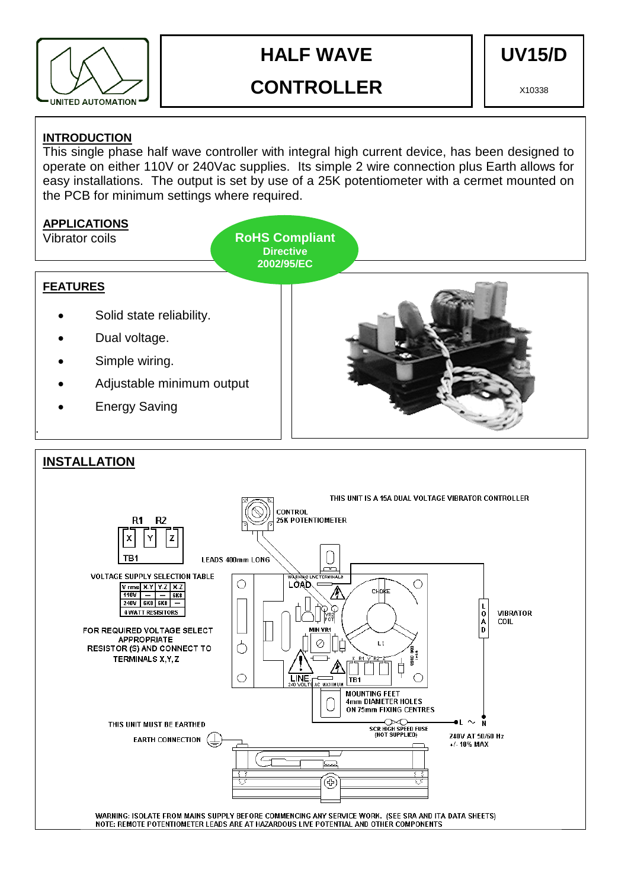

# **HALF WAVE**

**UV15/D** 

# **CONTROLLER**

X10338

# **INTRODUCTION**

This single phase half wave controller with integral high current device, has been designed to operate on either 110V or 240Vac supplies. Its simple 2 wire connection plus Earth allows for easy installations. The output is set by use of a 25K potentiometer with a cermet mounted on the PCB for minimum settings where required.